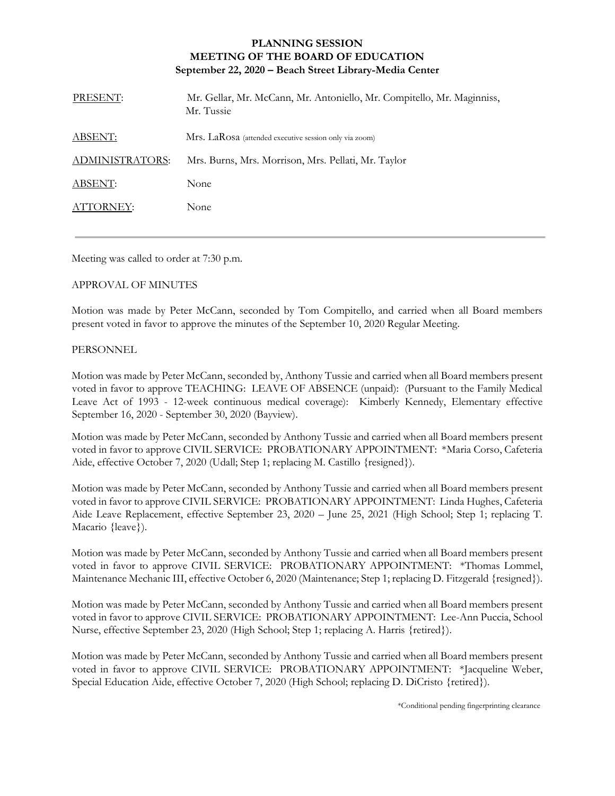## **PLANNING SESSION MEETING OF THE BOARD OF EDUCATION September 22, 2020 – Beach Street Library-Media Center**

| PRESENT:               | Mr. Gellar, Mr. McCann, Mr. Antoniello, Mr. Compitello, Mr. Maginniss,<br>Mr. Tussie |
|------------------------|--------------------------------------------------------------------------------------|
| ABSENT:                | Mrs. LaRosa (attended executive session only via zoom)                               |
| <b>ADMINISTRATORS:</b> | Mrs. Burns, Mrs. Morrison, Mrs. Pellati, Mr. Taylor                                  |
| ABSENT:                | None                                                                                 |
| ATTORNEY:              | None                                                                                 |

Meeting was called to order at 7:30 p.m.

## APPROVAL OF MINUTES

Motion was made by Peter McCann, seconded by Tom Compitello, and carried when all Board members present voted in favor to approve the minutes of the September 10, 2020 Regular Meeting.

## PERSONNEL

Motion was made by Peter McCann, seconded by, Anthony Tussie and carried when all Board members present voted in favor to approve TEACHING: LEAVE OF ABSENCE (unpaid): (Pursuant to the Family Medical Leave Act of 1993 - 12-week continuous medical coverage): Kimberly Kennedy, Elementary effective September 16, 2020 - September 30, 2020 (Bayview).

Motion was made by Peter McCann, seconded by Anthony Tussie and carried when all Board members present voted in favor to approve CIVIL SERVICE: PROBATIONARY APPOINTMENT: \*Maria Corso, Cafeteria Aide, effective October 7, 2020 (Udall; Step 1; replacing M. Castillo {resigned}).

Motion was made by Peter McCann, seconded by Anthony Tussie and carried when all Board members present voted in favor to approve CIVIL SERVICE: PROBATIONARY APPOINTMENT: Linda Hughes, Cafeteria Aide Leave Replacement, effective September 23, 2020 – June 25, 2021 (High School; Step 1; replacing T. Macario {leave}).

Motion was made by Peter McCann, seconded by Anthony Tussie and carried when all Board members present voted in favor to approve CIVIL SERVICE: PROBATIONARY APPOINTMENT: \*Thomas Lommel, Maintenance Mechanic III, effective October 6, 2020 (Maintenance; Step 1; replacing D. Fitzgerald {resigned}).

Motion was made by Peter McCann, seconded by Anthony Tussie and carried when all Board members present voted in favor to approve CIVIL SERVICE: PROBATIONARY APPOINTMENT: Lee-Ann Puccia, School Nurse, effective September 23, 2020 (High School; Step 1; replacing A. Harris {retired}).

Motion was made by Peter McCann, seconded by Anthony Tussie and carried when all Board members present voted in favor to approve CIVIL SERVICE: PROBATIONARY APPOINTMENT: \*Jacqueline Weber, Special Education Aide, effective October 7, 2020 (High School; replacing D. DiCristo {retired}).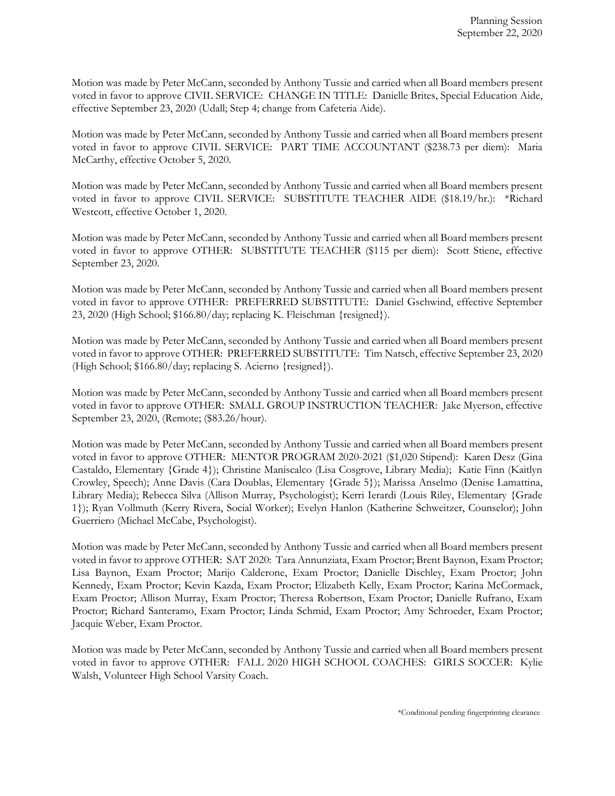Motion was made by Peter McCann, seconded by Anthony Tussie and carried when all Board members present voted in favor to approve CIVIL SERVICE: CHANGE IN TITLE: Danielle Brites, Special Education Aide, effective September 23, 2020 (Udall; Step 4; change from Cafeteria Aide).

Motion was made by Peter McCann, seconded by Anthony Tussie and carried when all Board members present voted in favor to approve CIVIL SERVICE: PART TIME ACCOUNTANT (\$238.73 per diem): Maria McCarthy, effective October 5, 2020.

Motion was made by Peter McCann, seconded by Anthony Tussie and carried when all Board members present voted in favor to approve CIVIL SERVICE: SUBSTITUTE TEACHER AIDE (\$18.19/hr.): \*Richard Westcott, effective October 1, 2020.

Motion was made by Peter McCann, seconded by Anthony Tussie and carried when all Board members present voted in favor to approve OTHER: SUBSTITUTE TEACHER (\$115 per diem): Scott Stiene, effective September 23, 2020.

Motion was made by Peter McCann, seconded by Anthony Tussie and carried when all Board members present voted in favor to approve OTHER: PREFERRED SUBSTITUTE: Daniel Gschwind, effective September 23, 2020 (High School; \$166.80/day; replacing K. Fleischman {resigned}).

Motion was made by Peter McCann, seconded by Anthony Tussie and carried when all Board members present voted in favor to approve OTHER: PREFERRED SUBSTITUTE: Tim Natsch, effective September 23, 2020 (High School; \$166.80/day; replacing S. Acierno {resigned}).

Motion was made by Peter McCann, seconded by Anthony Tussie and carried when all Board members present voted in favor to approve OTHER: SMALL GROUP INSTRUCTION TEACHER: Jake Myerson, effective September 23, 2020, (Remote; (\$83.26/hour).

Motion was made by Peter McCann, seconded by Anthony Tussie and carried when all Board members present voted in favor to approve OTHER: MENTOR PROGRAM 2020-2021 (\$1,020 Stipend): Karen Desz (Gina Castaldo, Elementary {Grade 4}); Christine Maniscalco (Lisa Cosgrove, Library Media); Katie Finn (Kaitlyn Crowley, Speech); Anne Davis (Cara Doublas, Elementary {Grade 5}); Marissa Anselmo (Denise Lamattina, Library Media); Rebecca Silva (Allison Murray, Psychologist); Kerri Ierardi (Louis Riley, Elementary {Grade 1}); Ryan Vollmuth (Kerry Rivera, Social Worker); Evelyn Hanlon (Katherine Schweitzer, Counselor); John Guerriero (Michael McCabe, Psychologist).

Motion was made by Peter McCann, seconded by Anthony Tussie and carried when all Board members present voted in favor to approve OTHER: SAT 2020: Tara Annunziata, Exam Proctor; Brent Baynon, Exam Proctor; Lisa Baynon, Exam Proctor; Marijo Calderone, Exam Proctor; Danielle Dischley, Exam Proctor; John Kennedy, Exam Proctor; Kevin Kazda, Exam Proctor; Elizabeth Kelly, Exam Proctor; Karina McCormack, Exam Proctor; Allison Murray, Exam Proctor; Theresa Robertson, Exam Proctor; Danielle Rufrano, Exam Proctor; Richard Santeramo, Exam Proctor; Linda Schmid, Exam Proctor; Amy Schroeder, Exam Proctor; Jacquie Weber, Exam Proctor.

Motion was made by Peter McCann, seconded by Anthony Tussie and carried when all Board members present voted in favor to approve OTHER: FALL 2020 HIGH SCHOOL COACHES: GIRLS SOCCER: Kylie Walsh, Volunteer High School Varsity Coach.